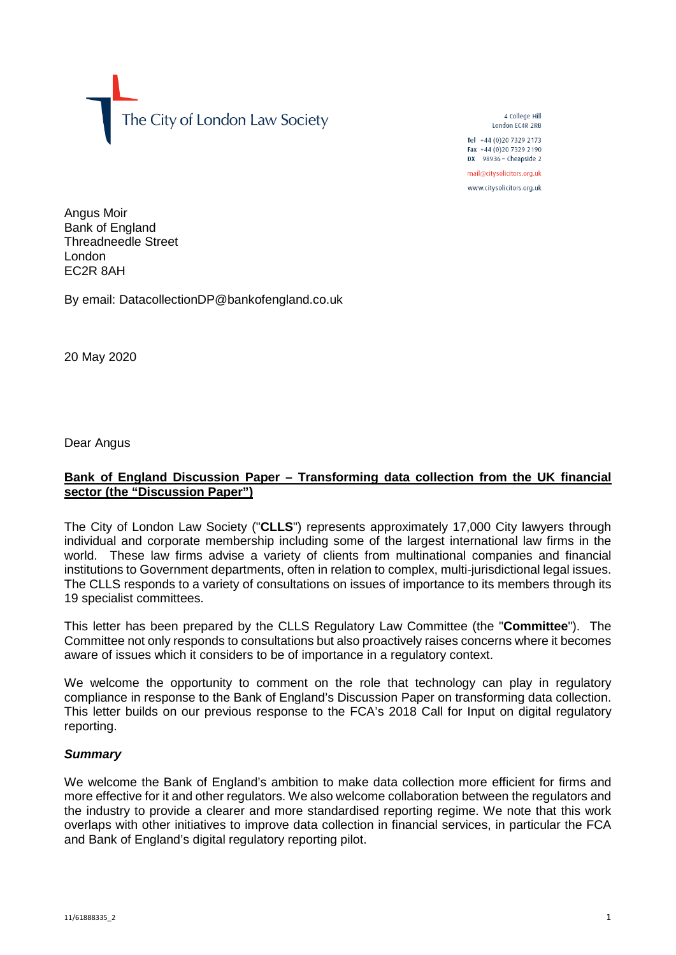The City of London Law Society

4 College Hill London FC4R 2RB

Tel +44 (0)20 7329 2173 Fax +44 (0)20 7329 2190 DX  $98936$  - Cheapside 2 mail@citysolicitors.org.uk

www.citysolicitors.org.uk

Angus Moir Bank of England Threadneedle Street London EC2R 8AH

By email: DatacollectionDP@bankofengland.co.uk

20 May 2020

Dear Angus

## **Bank of England Discussion Paper – Transforming data collection from the UK financial sector (the "Discussion Paper")**

The City of London Law Society ("**CLLS**") represents approximately 17,000 City lawyers through individual and corporate membership including some of the largest international law firms in the world. These law firms advise a variety of clients from multinational companies and financial institutions to Government departments, often in relation to complex, multi-jurisdictional legal issues. The CLLS responds to a variety of consultations on issues of importance to its members through its 19 specialist committees.

This letter has been prepared by the CLLS Regulatory Law Committee (the "**Committee**"). The Committee not only responds to consultations but also proactively raises concerns where it becomes aware of issues which it considers to be of importance in a regulatory context.

We welcome the opportunity to comment on the role that technology can play in regulatory compliance in response to the Bank of England's Discussion Paper on transforming data collection. This letter builds on our previous response to the FCA's 2018 Call for Input on digital regulatory reporting.

#### *Summary*

We welcome the Bank of England's ambition to make data collection more efficient for firms and more effective for it and other regulators. We also welcome collaboration between the regulators and the industry to provide a clearer and more standardised reporting regime. We note that this work overlaps with other initiatives to improve data collection in financial services, in particular the FCA and Bank of England's digital regulatory reporting pilot.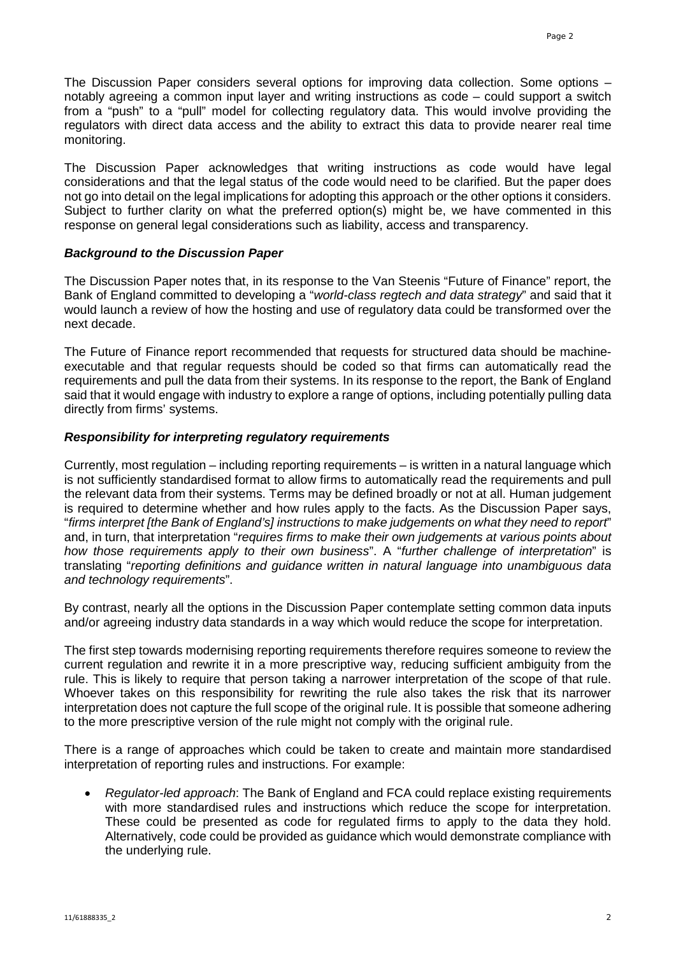The Discussion Paper considers several options for improving data collection. Some options – notably agreeing a common input layer and writing instructions as code – could support a switch from a "push" to a "pull" model for collecting regulatory data. This would involve providing the regulators with direct data access and the ability to extract this data to provide nearer real time monitoring.

The Discussion Paper acknowledges that writing instructions as code would have legal considerations and that the legal status of the code would need to be clarified. But the paper does not go into detail on the legal implications for adopting this approach or the other options it considers. Subject to further clarity on what the preferred option(s) might be, we have commented in this response on general legal considerations such as liability, access and transparency.

### *Background to the Discussion Paper*

The Discussion Paper notes that, in its response to the Van Steenis "Future of Finance" report, the Bank of England committed to developing a "*world-class regtech and data strategy*" and said that it would launch a review of how the hosting and use of regulatory data could be transformed over the next decade.

The Future of Finance report recommended that requests for structured data should be machineexecutable and that regular requests should be coded so that firms can automatically read the requirements and pull the data from their systems. In its response to the report, the Bank of England said that it would engage with industry to explore a range of options, including potentially pulling data directly from firms' systems.

### *Responsibility for interpreting regulatory requirements*

Currently, most regulation – including reporting requirements – is written in a natural language which is not sufficiently standardised format to allow firms to automatically read the requirements and pull the relevant data from their systems. Terms may be defined broadly or not at all. Human judgement is required to determine whether and how rules apply to the facts. As the Discussion Paper says, "*firms interpret [the Bank of England's] instructions to make judgements on what they need to report*" and, in turn, that interpretation "*requires firms to make their own judgements at various points about how those requirements apply to their own business*". A "*further challenge of interpretation*" is translating "*reporting definitions and guidance written in natural language into unambiguous data and technology requirements*".

By contrast, nearly all the options in the Discussion Paper contemplate setting common data inputs and/or agreeing industry data standards in a way which would reduce the scope for interpretation.

The first step towards modernising reporting requirements therefore requires someone to review the current regulation and rewrite it in a more prescriptive way, reducing sufficient ambiguity from the rule. This is likely to require that person taking a narrower interpretation of the scope of that rule. Whoever takes on this responsibility for rewriting the rule also takes the risk that its narrower interpretation does not capture the full scope of the original rule. It is possible that someone adhering to the more prescriptive version of the rule might not comply with the original rule.

There is a range of approaches which could be taken to create and maintain more standardised interpretation of reporting rules and instructions. For example:

• *Regulator-led approach*: The Bank of England and FCA could replace existing requirements with more standardised rules and instructions which reduce the scope for interpretation. These could be presented as code for regulated firms to apply to the data they hold. Alternatively, code could be provided as guidance which would demonstrate compliance with the underlying rule.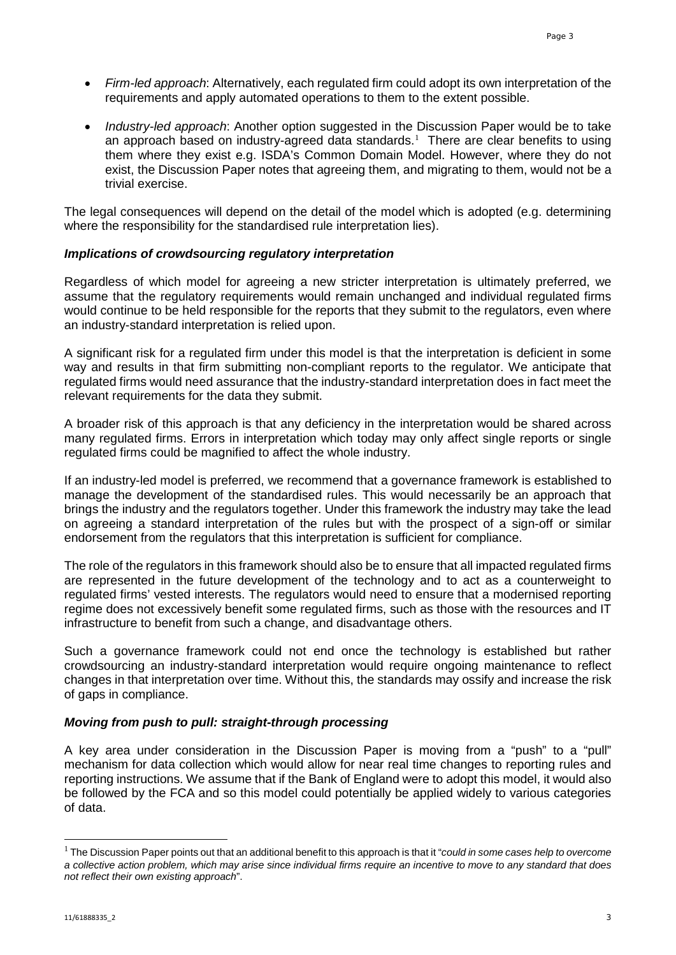- *Firm-led approach*: Alternatively, each regulated firm could adopt its own interpretation of the requirements and apply automated operations to them to the extent possible.
- *Industry-led approach*: Another option suggested in the Discussion Paper would be to take an approach based on industry-agreed data standards.<sup>[1](#page-2-0)</sup> There are clear benefits to using them where they exist e.g. ISDA's Common Domain Model. However, where they do not exist, the Discussion Paper notes that agreeing them, and migrating to them, would not be a trivial exercise.

The legal consequences will depend on the detail of the model which is adopted (e.g. determining where the responsibility for the standardised rule interpretation lies).

## *Implications of crowdsourcing regulatory interpretation*

Regardless of which model for agreeing a new stricter interpretation is ultimately preferred, we assume that the regulatory requirements would remain unchanged and individual regulated firms would continue to be held responsible for the reports that they submit to the regulators, even where an industry-standard interpretation is relied upon.

A significant risk for a regulated firm under this model is that the interpretation is deficient in some way and results in that firm submitting non-compliant reports to the regulator. We anticipate that regulated firms would need assurance that the industry-standard interpretation does in fact meet the relevant requirements for the data they submit.

A broader risk of this approach is that any deficiency in the interpretation would be shared across many regulated firms. Errors in interpretation which today may only affect single reports or single regulated firms could be magnified to affect the whole industry.

If an industry-led model is preferred, we recommend that a governance framework is established to manage the development of the standardised rules. This would necessarily be an approach that brings the industry and the regulators together. Under this framework the industry may take the lead on agreeing a standard interpretation of the rules but with the prospect of a sign-off or similar endorsement from the regulators that this interpretation is sufficient for compliance.

The role of the regulators in this framework should also be to ensure that all impacted regulated firms are represented in the future development of the technology and to act as a counterweight to regulated firms' vested interests. The regulators would need to ensure that a modernised reporting regime does not excessively benefit some regulated firms, such as those with the resources and IT infrastructure to benefit from such a change, and disadvantage others.

Such a governance framework could not end once the technology is established but rather crowdsourcing an industry-standard interpretation would require ongoing maintenance to reflect changes in that interpretation over time. Without this, the standards may ossify and increase the risk of gaps in compliance.

## *Moving from push to pull: straight-through processing*

A key area under consideration in the Discussion Paper is moving from a "push" to a "pull" mechanism for data collection which would allow for near real time changes to reporting rules and reporting instructions. We assume that if the Bank of England were to adopt this model, it would also be followed by the FCA and so this model could potentially be applied widely to various categories of data.

i,

<span id="page-2-0"></span><sup>1</sup> The Discussion Paper points out that an additional benefit to this approach is that it "*could in some cases help to overcome a collective action problem, which may arise since individual firms require an incentive to move to any standard that does not reflect their own existing approach*".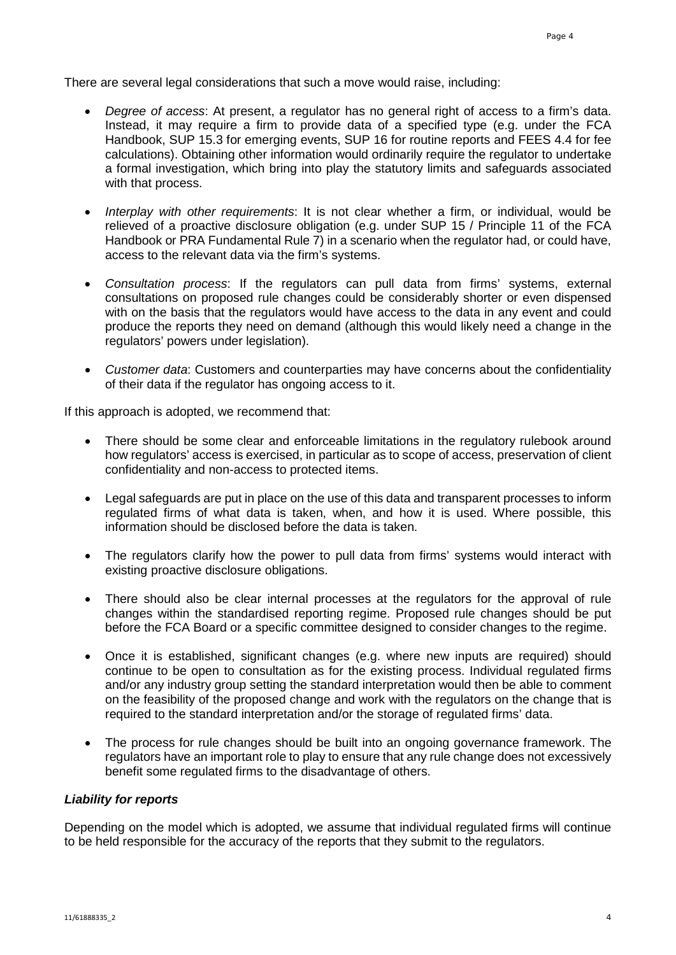There are several legal considerations that such a move would raise, including:

- *Degree of access*: At present, a regulator has no general right of access to a firm's data. Instead, it may require a firm to provide data of a specified type (e.g. under the FCA Handbook, SUP 15.3 for emerging events, SUP 16 for routine reports and FEES 4.4 for fee calculations). Obtaining other information would ordinarily require the regulator to undertake a formal investigation, which bring into play the statutory limits and safeguards associated with that process.
- *Interplay with other requirements*: It is not clear whether a firm, or individual, would be relieved of a proactive disclosure obligation (e.g. under SUP 15 / Principle 11 of the FCA Handbook or PRA Fundamental Rule 7) in a scenario when the regulator had, or could have, access to the relevant data via the firm's systems.
- *Consultation process*: If the regulators can pull data from firms' systems, external consultations on proposed rule changes could be considerably shorter or even dispensed with on the basis that the regulators would have access to the data in any event and could produce the reports they need on demand (although this would likely need a change in the regulators' powers under legislation).
- *Customer data*: Customers and counterparties may have concerns about the confidentiality of their data if the regulator has ongoing access to it.

If this approach is adopted, we recommend that:

- There should be some clear and enforceable limitations in the regulatory rulebook around how regulators' access is exercised, in particular as to scope of access, preservation of client confidentiality and non-access to protected items.
- Legal safeguards are put in place on the use of this data and transparent processes to inform regulated firms of what data is taken, when, and how it is used. Where possible, this information should be disclosed before the data is taken.
- The regulators clarify how the power to pull data from firms' systems would interact with existing proactive disclosure obligations.
- There should also be clear internal processes at the regulators for the approval of rule changes within the standardised reporting regime. Proposed rule changes should be put before the FCA Board or a specific committee designed to consider changes to the regime.
- Once it is established, significant changes (e.g. where new inputs are required) should continue to be open to consultation as for the existing process. Individual regulated firms and/or any industry group setting the standard interpretation would then be able to comment on the feasibility of the proposed change and work with the regulators on the change that is required to the standard interpretation and/or the storage of regulated firms' data.
- The process for rule changes should be built into an ongoing governance framework. The regulators have an important role to play to ensure that any rule change does not excessively benefit some regulated firms to the disadvantage of others.

#### *Liability for reports*

Depending on the model which is adopted, we assume that individual regulated firms will continue to be held responsible for the accuracy of the reports that they submit to the regulators.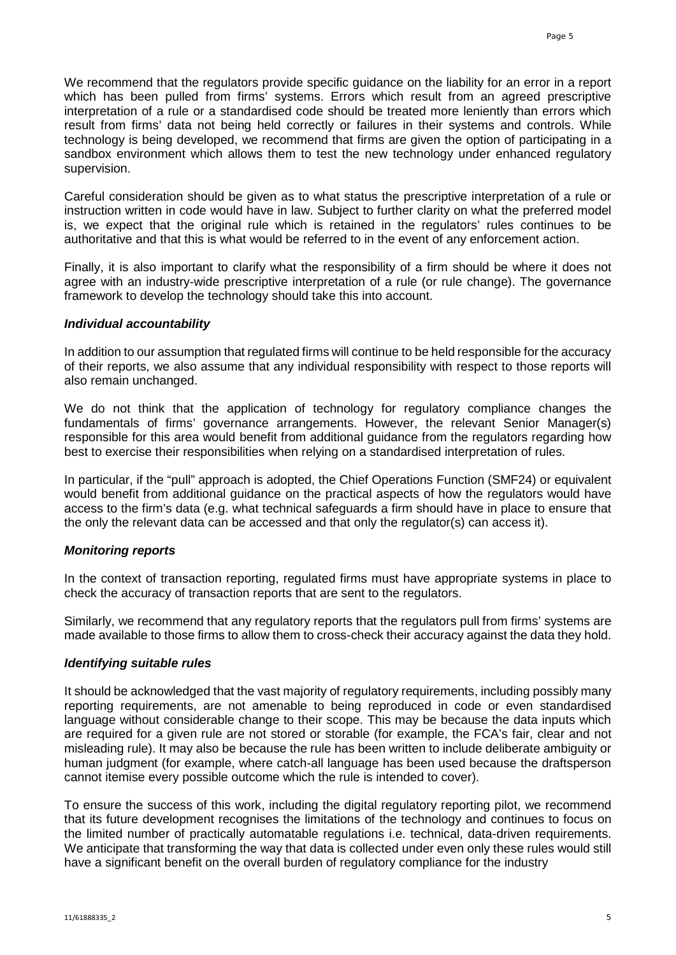We recommend that the regulators provide specific guidance on the liability for an error in a report which has been pulled from firms' systems. Errors which result from an agreed prescriptive interpretation of a rule or a standardised code should be treated more leniently than errors which result from firms' data not being held correctly or failures in their systems and controls. While technology is being developed, we recommend that firms are given the option of participating in a sandbox environment which allows them to test the new technology under enhanced regulatory supervision.

Careful consideration should be given as to what status the prescriptive interpretation of a rule or instruction written in code would have in law. Subject to further clarity on what the preferred model is, we expect that the original rule which is retained in the regulators' rules continues to be authoritative and that this is what would be referred to in the event of any enforcement action.

Finally, it is also important to clarify what the responsibility of a firm should be where it does not agree with an industry-wide prescriptive interpretation of a rule (or rule change). The governance framework to develop the technology should take this into account.

#### *Individual accountability*

In addition to our assumption that regulated firms will continue to be held responsible for the accuracy of their reports, we also assume that any individual responsibility with respect to those reports will also remain unchanged.

We do not think that the application of technology for regulatory compliance changes the fundamentals of firms' governance arrangements. However, the relevant Senior Manager(s) responsible for this area would benefit from additional guidance from the regulators regarding how best to exercise their responsibilities when relying on a standardised interpretation of rules.

In particular, if the "pull" approach is adopted, the Chief Operations Function (SMF24) or equivalent would benefit from additional guidance on the practical aspects of how the regulators would have access to the firm's data (e.g. what technical safeguards a firm should have in place to ensure that the only the relevant data can be accessed and that only the regulator(s) can access it).

#### *Monitoring reports*

In the context of transaction reporting, regulated firms must have appropriate systems in place to check the accuracy of transaction reports that are sent to the regulators.

Similarly, we recommend that any regulatory reports that the regulators pull from firms' systems are made available to those firms to allow them to cross-check their accuracy against the data they hold.

#### *Identifying suitable rules*

It should be acknowledged that the vast majority of regulatory requirements, including possibly many reporting requirements, are not amenable to being reproduced in code or even standardised language without considerable change to their scope. This may be because the data inputs which are required for a given rule are not stored or storable (for example, the FCA's fair, clear and not misleading rule). It may also be because the rule has been written to include deliberate ambiguity or human judgment (for example, where catch-all language has been used because the draftsperson cannot itemise every possible outcome which the rule is intended to cover).

To ensure the success of this work, including the digital regulatory reporting pilot, we recommend that its future development recognises the limitations of the technology and continues to focus on the limited number of practically automatable regulations i.e. technical, data-driven requirements. We anticipate that transforming the way that data is collected under even only these rules would still have a significant benefit on the overall burden of regulatory compliance for the industry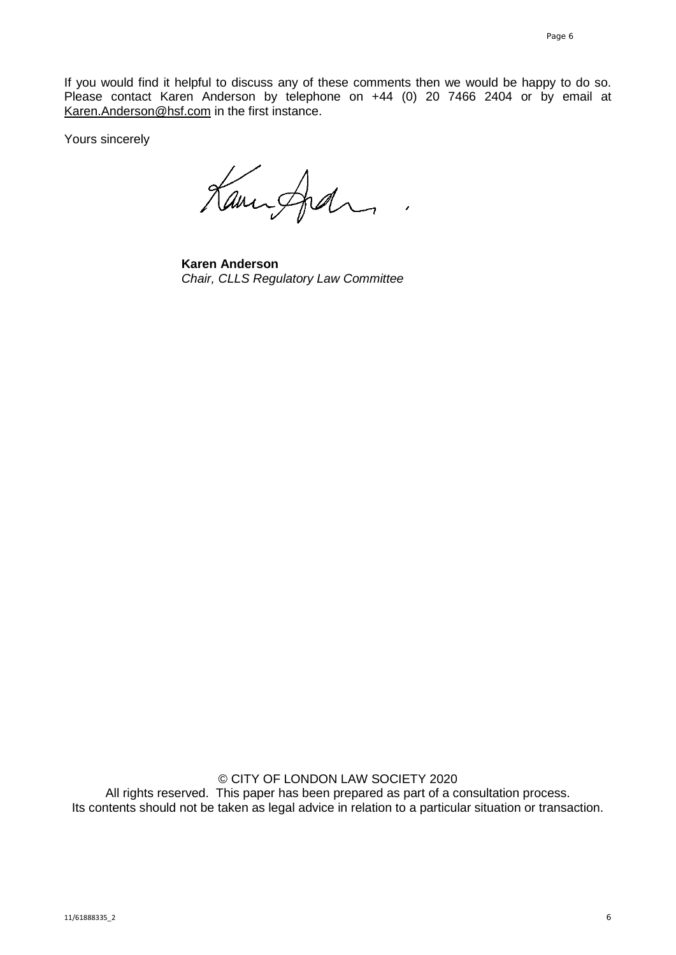If you would find it helpful to discuss any of these comments then we would be happy to do so. Please contact Karen Anderson by telephone on +44 (0) 20 7466 2404 or by email at [Karen.Anderson@hsf.com](mailto:Karen.Anderson@hsf.com) in the first instance.

Yours sincerely

Kanisfier

**Karen Anderson** *Chair, CLLS Regulatory Law Committee*

© CITY OF LONDON LAW SOCIETY 2020 All rights reserved. This paper has been prepared as part of a consultation process. Its contents should not be taken as legal advice in relation to a particular situation or transaction.